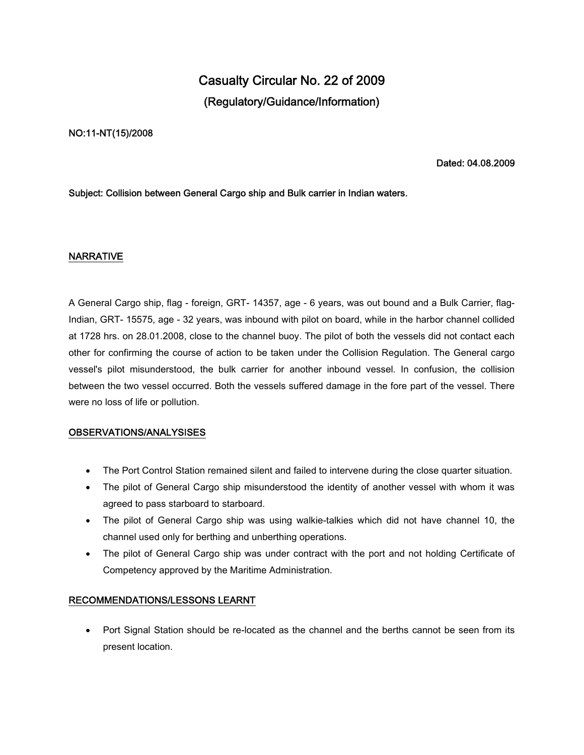# **Casualty Circular No. 22 of 2009 (Regulatory/Guidance/Information)**

### **NO:11-NT(15)/2008**

**Dated: 04.08.2009**

### **Subject: Collision between General Cargo ship and Bulk carrier in Indian waters.**

### **NARRATIVE**

A General Cargo ship, flag - foreign, GRT- 14357, age - 6 years, was out bound and a Bulk Carrier, flag-Indian, GRT- 15575, age - 32 years, was inbound with pilot on board, while in the harbor channel collided at 1728 hrs. on 28.01.2008, close to the channel buoy. The pilot of both the vessels did not contact each other for confirming the course of action to be taken under the Collision Regulation. The General cargo vessel's pilot misunderstood, the bulk carrier for another inbound vessel. In confusion, the collision between the two vessel occurred. Both the vessels suffered damage in the fore part of the vessel. There were no loss of life or pollution.

#### **OBSERVATIONS/ANALYSISES**

- The Port Control Station remained silent and failed to intervene during the close quarter situation.
- The pilot of General Cargo ship misunderstood the identity of another vessel with whom it was agreed to pass starboard to starboard.
- The pilot of General Cargo ship was using walkie-talkies which did not have channel 10, the channel used only for berthing and unberthing operations.
- The pilot of General Cargo ship was under contract with the port and not holding Certificate of Competency approved by the Maritime Administration.

## **RECOMMENDATIONS/LESSONS LEARNT**

• Port Signal Station should be re-located as the channel and the berths cannot be seen from its present location.